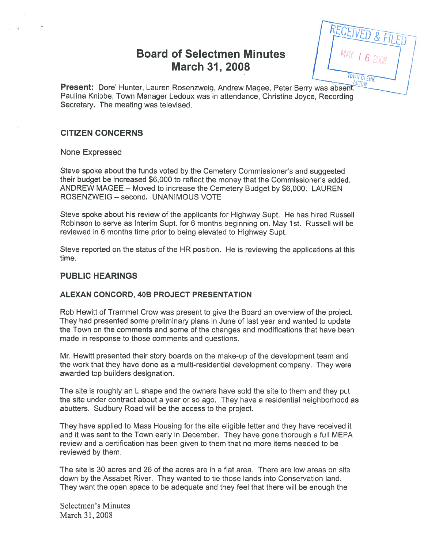# Board of Selectmen Minutes March 31, 2008

TOWN CLERI

Present: Dore' Hunter, Lauren Rosenzweig, Andrew Magee, Peter Berry was absent, Paulina Knibbe, Town Manager Ledoux was in attendance, Christine Joyce, Recording Secretary. The meeting was televised.

## CITIZEN CONCERNS

None Expressed

Steve spoke about the funds voted by the Cemetery Commissioner's and suggested their budget be increased \$6,000 to reflect the money that the Commissioner's added. ANDREW MAGEE — Moved to increase the Cemetery Budget by \$6,000. LAUREN ROSENZWEIG — second. UNANIMOUS VOTE

Steve spoke about his review of the applicants for Highway Supt. He has hired Russell Robinson to serve as Interim Supt. for 6 months beginning on. May 1st. Russell will be reviewed in 6 months time prior to being elevated to Highway Supt.

Steve reported on the status of the HR position. He is reviewing the applications at this time.

### PUBLIC HEARINGS

#### ALEXAN CONCORD, 40B PROJECT PRESENTATION

Rob Hewitt of Trammel Crow was presen<sup>t</sup> to give the Board an overview of the project. They had presented some preliminary plans in June of last year and wanted to update the Town on the comments and some of the changes and modifications that have been made in response to those comments and questions.

Mr. Hewitt presented their story boards on the make-up of the development team and the work that they have done as <sup>a</sup> multi-residential development company. They were awarded top builders designation.

The site is roughly an L shape and the owners have sold the site to them and they pu<sup>t</sup> the site under contract about <sup>a</sup> year or so ago. They have <sup>a</sup> residential neighborhood as abutters. Sudbury Road will be the access to the project.

They have applied to Mass Housing for the site eligible letter and they have received it and it was sent to the Town early in December. They have gone thorough <sup>a</sup> full MEPA review and a certification has been given to them that no more items needed to be reviewed by them.

The site is 30 acres and 26 of the acres are in a flat area. There are low areas on site down by the Assabet River. They wanted to tie those lands into Conservation land. They want the open space to be adequate and they feel that there will be enough the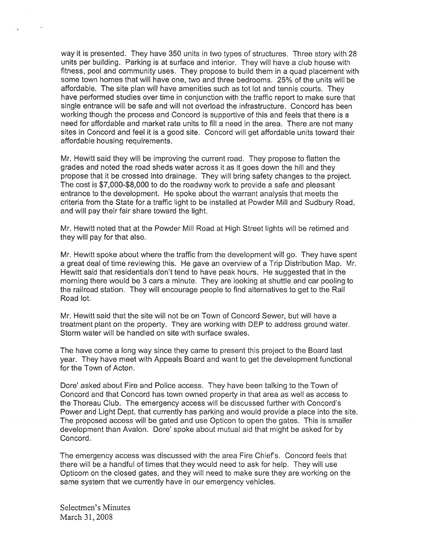way it is presented. They have 350 units in two types of structures. Three story with 28 units per building. Parking is at surface and interior. They will have <sup>a</sup> club house with fitness, pool and community uses. They propose to build them in <sup>a</sup> quad placement with some town homes that will have one, two and three bedrooms. 25% of the units will be affordable. The site plan will have amenities such as tot lot and tennis courts. They have performed studies over time in conjunction with the traffic repor<sup>t</sup> to make sure that single entrance will be safe and will not overload the infrastructure. Concord has been working though the process and Concord is supportive of this and feels that there is <sup>a</sup> need for affordable and market rate units to fill <sup>a</sup> need in the area. There are not many sites in Concord and feel it is <sup>a</sup> good site. Concord will ge<sup>t</sup> affordable units toward their affordable housing requirements.

Mr. Hewitt said they will be improving the current road. They propose to flatten the grades and noted the road sheds water across it as it goes down the hill and they propose that it be crossed into drainage. They will bring safety changes to the project. The cost is \$7,000-\$8,000 to do the roadway work to provide <sup>a</sup> safe and pleasant entrance to the development. He spoke about the warrant analysis that meets the criteria from the State for <sup>a</sup> traffic light to be installed at Powder Mill and Sudbury Road, and will pay their fair share toward the light.

Mr. Hewitt noted that at the Powder Mill Road at High Street lights will be retimed and they will pay for that also.

Mr. Hewitt spoke about where the traffic from the development will go. They have spen<sup>t</sup> <sup>a</sup> grea<sup>t</sup> deal of time reviewing this. He gave an overview of <sup>a</sup> Trip Distribution Map. Mr. Hewitt said that residentials don't tend to have peak hours. He suggested that in the morning there would be 3 cars <sup>a</sup> minute. They are looking at shuttle and car pooling to the railroad station. They will encourage people to find alternatives to ge<sup>t</sup> to the Rail Road lot.

Mr. Hewitt said that the site will not be on Town of Concord Sewer, but will have <sup>a</sup> treatment plant on the property. They are working with DEP to address ground water. Storm water will be handled on site with surface swales.

The have come <sup>a</sup> long way since they came to presen<sup>t</sup> this project to the Board last year. They have meet with Appeals Board and want to ge<sup>t</sup> the development functional for the Town of Acton.

Dore' asked about Fire and Police access. They have been talking to the Town of Concord and that Concord has town owned property in that area as well as access to the Thoreau Club. The emergency access will be discussed further with Concord's Power and Light Dept. that currently has parking and would provide <sup>a</sup> place into the site. The proposed access will be gated and use Opticon to open the gates. This is smaller development than Avalon. Dore' spoke about mutual aid that might be asked for by Concord.

The emergency access was discussed with the area Fire Chief's. Concord feels that there will be <sup>a</sup> handful of times that they would need to ask for help. They will use Opticom on the closed gates, and they will need to make sure they are working on the same system that we currently have in our emergency vehicles.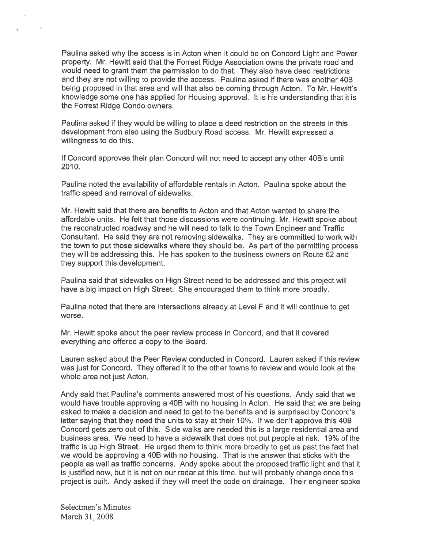Paulina asked why the access is in Acton when it could be on Concord Light and Power property. Mt. Hewitt said that the Forrest Ridge Association owns the private road and would need to gran<sup>t</sup> them the permission to do that. They also have deed restrictions and they are not willing to provide the access. Paulina asked if there was another 40B being proposed in that area and will that also be coming through Acton. To Mr. Hewitt's knowledge some one has applied for Housing approval. It is his understanding that it is the Forrest Ridge Condo owners.

Paulina asked if they would be willing to place <sup>a</sup> deed restriction on the streets in this development from also using the Sudbury Road access. Mr. Hewitt expressed <sup>a</sup> willingness to do this.

If Concord approves their plan Concord will not need to accep<sup>t</sup> any other 40B's until 2010.

Paulina noted the availability of affordable rentals in Acton. Paulina spoke about the traffic speed and removal of sidewalks.

Mr. Hewitt said that there are benefits to Acton and that Acton wanted to share the affordable units. He felt that those discussions were continuing. Mr. Hewitt spoke about the reconstructed roadway and he will need to talk to the Town Engineer and Traffic Consultant. He said they are not removing sidewalks. They are committed to work with the town to pu<sup>t</sup> those sidewalks where they should be. As par<sup>t</sup> of the permitting process they will be addressing this. He has spoken to the business owners on Route 62 and they suppor<sup>t</sup> this development.

Paulina said that sidewalks on High Street need to be addressed and this project will have <sup>a</sup> big impact on High Street. She encouraged them to think more broadly.

Paulina noted that there are intersections already at Level F and it will continue to ge<sup>t</sup> worse.

Mr. Hewitt spoke about the peer review process in Concord, and that it covered everything and offered <sup>a</sup> copy to the Board.

Lauren asked about the Peer Review conducted in Concord. Lauren asked if this review was just for Concord. They offered it to the other towns to review and would look at the whole area not just Acton.

Andy said that Paulina's comments answered most of his questions. Andy said that we would have trouble approving <sup>a</sup> 405 with no housing in Acton. He said that we are being asked to make <sup>a</sup> decision and need to ge<sup>t</sup> to the benefits and is surprised by Concord's letter saying that they need the units to stay at their 10%. If we don't approve this 40B Concord gets zero out of this. Side walks are needed this is <sup>a</sup> large residential area and business area. We need to have <sup>a</sup> sidewalk that does not pu<sup>t</sup> people at risk. 19% of the traffic is up High Street. He urged them to think more broadly to ge<sup>t</sup> us pas<sup>t</sup> the fact that we would be approving <sup>a</sup> 405 with no housing. That is the answer that sticks with the people as well as traffic concerns. Andy spoke about the proposed traffic light and that it is justified now, but it is not on our radar at this time, but will probably change once this project is built. Andy asked if they will meet the code on drainage. Their engineer spoke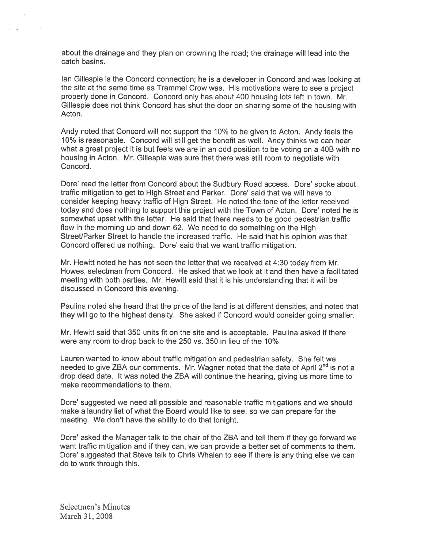about the drainage and they plan on crowning the road; the drainage will lead into the catch basins.

Ian Gillespie is the Concord connection; he is <sup>a</sup> developer in Concord and was looking at the site at the same time as Trammel Crow was. His motivations were to see <sup>a</sup> project properly done in Concord. Concord only has about 400 housing lots left in town. Mr. Gillespie does not think Concord has shut the door on sharing some of the housing with Acton.

Andy noted that Concord will not suppor<sup>t</sup> the 10% to be <sup>g</sup>iven to Acton. Andy feels the 10% is reasonable. Concord will still ge<sup>t</sup> the benefit as well. Andy thinks we can hear what <sup>a</sup> grea<sup>t</sup> project it is but feels we are in an odd position to be voting on <sup>a</sup> 40B with no housing in Acton. Mr. Gillespie was sure that there was still room to negotiate with Concord.

Dore' read the letter from Concord about the Sudbury Road access. Dore' spoke about traffic mitigation to ge<sup>t</sup> to High Street and Parker. Dote' said that we will have to consider keeping heavy traffic of High Street. He noted the tone of the letter received today and does nothing to suppor<sup>t</sup> this project with the Town of Acton. Dore' noted he is somewhat upse<sup>t</sup> with the letter. He said that there needs to be good pedestrian traffic flow in the morning up and down 62. We need to do something on the High Street/Parker Street to handle the increased traffic. He said that his opinion was that Concord offered us nothing. Dore' said that we want traffic mitigation.

Mr. Hewitt noted he has not seen the letter that we received at 4:30 today from Mr. Howes, selectman from Concord. He asked that we look at it and then have <sup>a</sup> facilitated meeting with both parties. Mr. Hewitt said that it is his understanding that it will be discussed in Concord this evening.

Paulina noted she heard that the price of the land is at different densities, and noted that they will go to the highest density. She asked if Concord would consider going smaller.

Mr. Hewitt said that 350 units fit on the site and is acceptable. Paulina asked if there were any room to drop back to the 250 vs. 350 in lieu of the 10%.

Lauren wanted to know about traffic mitigation and pedestrian safety. She felt we needed to give ZBA our comments. Mr. Wagner noted that the date of April  $2^{nd}$  is not a drop dead date. It was noted the ZBA will continue the hearing, giving us more time to make recommendations to them.

Dote' suggested we need all possible and reasonable traffic mitigations and we should make <sup>a</sup> laundry list of what the Board would like to see, so we can prepare for the meeting. We don't have the ability to do that tonight.

Dore' asked the Manager talk to the chair of the ZBA and tell them if they go forward we want traffic mitigation and if they can, we can provide <sup>a</sup> better set of comments to them. Dore' suggested that Steve talk to Chris Whalen to see if there is any thing else we can do to work through this.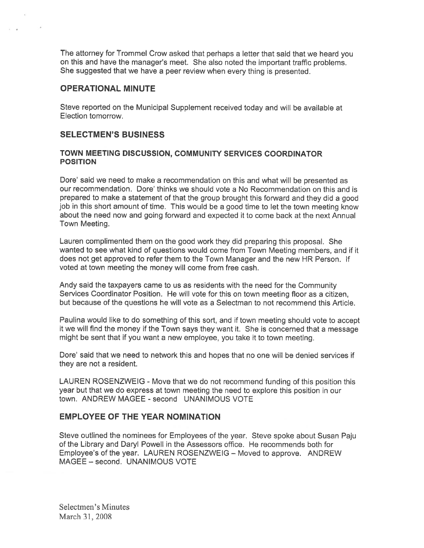The attorney for Trommel Crow asked that perhaps <sup>a</sup> letter that said that we heard you on this and have the manager's meet. She also noted the important traffic problems. She suggested that we have <sup>a</sup> peer review when every thing is presented.

### OPERATIONAL MINUTE

Steve reported on the Municipal Supplement received today and will be available at Election tomorrow.

### SELECTMEN'S BUSINESS

#### TOWN MEETING DISCUSSION, COMMUNITY SERVICES COORDINATOR POSITION

Dote' said we need to make <sup>a</sup> recommendation on this and what will be presented as our recommendation. Dore' thinks we should vote <sup>a</sup> No Recommendation on this and is prepare<sup>d</sup> to make <sup>a</sup> statement of that the group brought this forward and they did <sup>a</sup> goo<sup>d</sup> job in this short amount of time. This would be <sup>a</sup> good time to let the town meeting know about the need now and going forward and expected it to come back at the next Annual Town Meeting.

Lauren complimented them on the good work they did preparing this proposal. She wanted to see what kind of questions would come from Town Meeting members, and if it does not ge<sup>t</sup> approved to refer them to the Town Manager and the new HR Person. If voted at town meeting the money will come from free cash.

Andy said the taxpayers came to us as residents with the need for the Community Services Coordinator Position. He will vote for this on town meeting floor as <sup>a</sup> citizen, but because of the questions he will vote as <sup>a</sup> Selectman to not recommend this Article.

Paulina would like to do something of this sort, and if town meeting should vote to accep<sup>t</sup> it we will find the money if the Town says they want it. She is concerned that <sup>a</sup> message might be sent that if you want <sup>a</sup> new employee, you take it to town meeting.

Dore' said that we need to network this and hopes that no one will be denied services if they are not <sup>a</sup> resident.

LAUREN ROSENZWEIG - Move that we do not recommend funding of this position this year but that we do express at town meeting the need to explore this position in our town. ANDREW MAGEE - second UNANIMOUS VOTE

### EMPLOYEE OF THE YEAR NOMINATION

Steve outlined the nominees for Employees of the year. Steve spoke about Susan Paju of the Library and Daryl Powell in the Assessors office. He recommends both for Employee's of the year. LAUREN ROSENZWEIG — Moved to approve. ANDREW MAGEE — second. UNANIMOUS VOTE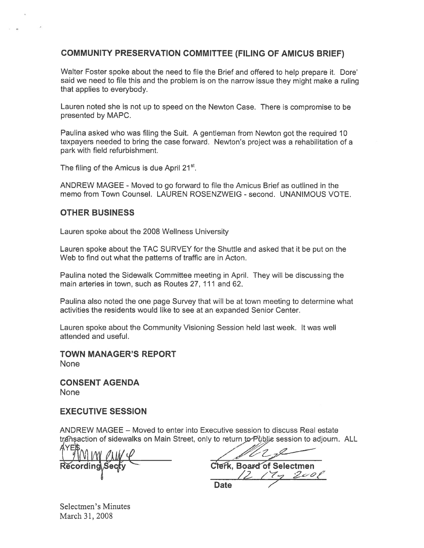# COMMUNITY PRESERVATION COMMITTEE (FILING OF AMICUS BRIEF)

Walter Foster spoke about the need to file the Brief and offered to help prepare it. Dore' said we need to file this and the problem is on the narrow issue they might make <sup>a</sup> ruling that applies to everybody.

Lauren noted she is not up to speed on the Newton Case. There is compromise to be presented by MAPC.

Paulina asked who was filing the Suit. A gentleman from Newton go<sup>t</sup> the requited 10 taxpayers needed to bring the case forward. Newton's project was <sup>a</sup> rehabilitation of <sup>a</sup> park with field refurbishment.

The filing of the Amicus is due April 21<sup>st</sup>.

ANDREW MAGEE - Moved to go forward to file the Amicus Brief as outlined in the memo from Town Counsel. LAUREN ROSENZWEIG - second. UNANIMOUS VOTE.

## OTHER BUSINESS

Lauren spoke about the 2008 Wellness University

Lauren spoke about the TAC SURVEY for the Shuttle and asked that it be pu<sup>t</sup> on the Web to find out what the patterns of traffic are in Acton.

Paulina noted the Sidewalk Committee meeting in April. They will be discussing the main arteries in town, such as Routes 27, 111 and 62,

Paulina also noted the one page Survey that will be at town meeting to determine what activities the residents would like to see at an expanded Senior Center.

Lauren spoke about the Community Visioning Session held last week. It was well attended and useful.

TOWN MANAGER'S REPORT None

CONSENT AGENDA None

### EXECUTIVE SESSION

ANDREW MAGEE — Moved to enter into Executive session to discuss Real estate transaction of sidewalks on Main Street, only to return to Public session to adjourn. ALL

 $(9)$  M M  $\ell$ 

Clerk, Board of Selectmen  $2e$ ol Date